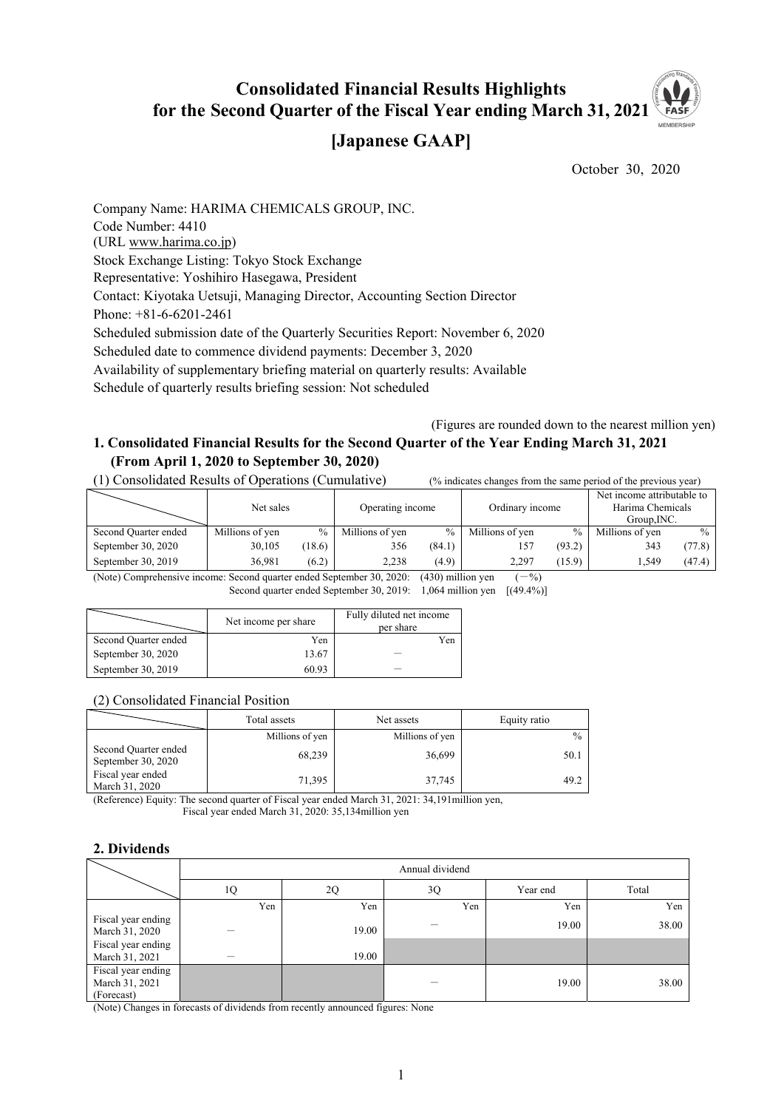#### **Consolidated Financial Results Highlights for the Second Quarter of the Fiscal Year ending March 31, 2021** MEMBERSH

# **[Japanese GAAP]**

October 30, 2020

Company Name: HARIMA CHEMICALS GROUP, INC. Code Number: 4410 (URL www.harima.co.jp) Stock Exchange Listing: Tokyo Stock Exchange Representative: Yoshihiro Hasegawa, President Contact: Kiyotaka Uetsuji, Managing Director, Accounting Section Director Phone: +81-6-6201-2461 Scheduled submission date of the Quarterly Securities Report: November 6, 2020 Scheduled date to commence dividend payments: December 3, 2020 Availability of supplementary briefing material on quarterly results: Available Schedule of quarterly results briefing session: Not scheduled

(Figures are rounded down to the nearest million yen)

## **1. Consolidated Financial Results for the Second Quarter of the Year Ending March 31, 2021 (From April 1, 2020 to September 30, 2020)**

(1) Consolidated Results of Operations (Cumulative) (% indicates changes from the same period of the previous year)

|                      | Net sales                                                                                                                                                                                                                              |               | Operating income |               | Ordinary income |        | Net income attributable to<br>Harima Chemicals<br>Group, INC. |               |
|----------------------|----------------------------------------------------------------------------------------------------------------------------------------------------------------------------------------------------------------------------------------|---------------|------------------|---------------|-----------------|--------|---------------------------------------------------------------|---------------|
| Second Quarter ended | Millions of yen                                                                                                                                                                                                                        | $\frac{0}{0}$ | Millions of yen  | $\frac{0}{0}$ | Millions of yen | $\%$   | Millions of yen                                               | $\frac{0}{0}$ |
| September 30, $2020$ | 30,105                                                                                                                                                                                                                                 | (18.6)        | 356              | (84.1)        | 157             | (93.2) | 343                                                           | (77.8)        |
| September 30, 2019   | 36.981                                                                                                                                                                                                                                 | (6.2)         | 2.238            | (4.9)         | 2.297           | (15.9) | 1.549                                                         | (47.4)        |
|                      | $(11)(1)$ $(1)$ $(1)$ $(1)$ $(1)$ $(1)$ $(1)$ $(1)$ $(1)$ $(1)$ $(1)$ $(1)$ $(1)$ $(1)$ $(1)$ $(1)$ $(1)$ $(1)$ $(1)$ $(1)$ $(1)$ $(1)$ $(1)$ $(1)$ $(1)$ $(1)$ $(1)$ $(1)$ $(1)$ $(1)$ $(1)$ $(1)$ $(1)$ $(1)$ $(1)$ $(1)$ $($<br>0/2 |               |                  |               |                 |        |                                                               |               |

(Note) Comprehensive income: Second quarter ended September 30, 2020: (430) million yen  $(-\%)$ Second quarter ended September 30, 2019: 1,064 million yen  $[(49.4\%)]$ 

|                      | Net income per share | Fully diluted net income<br>per share |
|----------------------|----------------------|---------------------------------------|
| Second Quarter ended | Yen                  | Yen                                   |
| September 30, 2020   | 13.67                |                                       |
| September 30, 2019   | 60.93                |                                       |

#### (2) Consolidated Financial Position

|                                            | Total assets    | Net assets      | Equity ratio  |  |
|--------------------------------------------|-----------------|-----------------|---------------|--|
|                                            | Millions of yen | Millions of yen | $\frac{0}{0}$ |  |
| Second Quarter ended<br>September 30, 2020 | 68,239          | 36,699          | 50.1          |  |
| Fiscal year ended<br>March 31, 2020        | 71,395          | 37.745          | 49.2          |  |

(Reference) Equity: The second quarter of Fiscal year ended March 31, 2021: 34,191million yen, Fiscal year ended March 31, 2020: 35,134million yen

## **2. Dividends**

|                                                    |     | Annual dividend |     |          |       |  |  |
|----------------------------------------------------|-----|-----------------|-----|----------|-------|--|--|
|                                                    | 1Q  | 2Q              | 3Q  | Year end | Total |  |  |
|                                                    | Yen | Yen             | Yen | Yen      | Yen   |  |  |
| Fiscal year ending<br>March 31, 2020               |     | 19.00           |     | 19.00    | 38.00 |  |  |
| Fiscal year ending<br>March 31, 2021               |     | 19.00           |     |          |       |  |  |
| Fiscal year ending<br>March 31, 2021<br>(Forecast) |     |                 |     | 19.00    | 38.00 |  |  |

(Note) Changes in forecasts of dividends from recently announced figures: None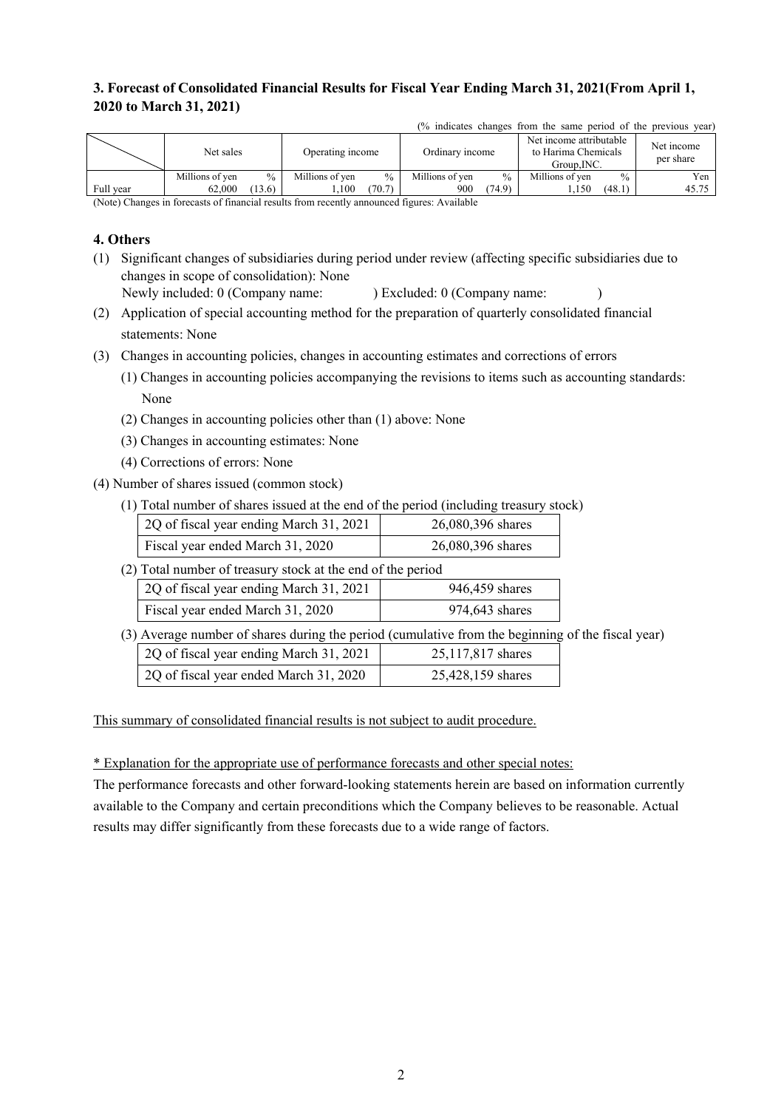# **3. Forecast of Consolidated Financial Results for Fiscal Year Ending March 31, 2021(From April 1, 2020 to March 31, 2021)**

|           | Net sales       |               | Operating income |               | Ordinary income |               | Net income attributable<br>to Harima Chemicals<br>Group.INC. |               | Net income<br>per share |
|-----------|-----------------|---------------|------------------|---------------|-----------------|---------------|--------------------------------------------------------------|---------------|-------------------------|
|           | Millions of ven | $\frac{0}{0}$ | Millions of ven  | $\frac{0}{0}$ | Millions of ven | $\frac{0}{0}$ | Millions of ven                                              | $\frac{0}{0}$ | $v_{en}$                |
| Full year | 62.000          | (13.6)        | .100             | (70.7)        | 900             | (74.9)        | 1.150                                                        | (48.1)        | 45.75                   |

(% indicates changes from the same period of the previous year)

(Note) Changes in forecasts of financial results from recently announced figures: Available

#### **4. Others**

- (1) Significant changes of subsidiaries during period under review (affecting specific subsidiaries due to changes in scope of consolidation): None
- Newly included: 0 (Company name: ) Excluded: 0 (Company name: ) (2) Application of special accounting method for the preparation of quarterly consolidated financial

statements: None

- (3) Changes in accounting policies, changes in accounting estimates and corrections of errors
	- (1) Changes in accounting policies accompanying the revisions to items such as accounting standards: None
	- (2) Changes in accounting policies other than (1) above: None
	- (3) Changes in accounting estimates: None
	- (4) Corrections of errors: None
- (4) Number of shares issued (common stock)
	- (1) Total number of shares issued at the end of the period (including treasury stock)

| 2Q of fiscal year ending March 31, 2021 | 26,080,396 shares |
|-----------------------------------------|-------------------|
| Fiscal year ended March 31, 2020        | 26,080,396 shares |

(2) Total number of treasury stock at the end of the period

| 2Q of fiscal year ending March 31, 2021 | 946,459 shares |
|-----------------------------------------|----------------|
| Fiscal year ended March 31, 2020        | 974,643 shares |

(3) Average number of shares during the period (cumulative from the beginning of the fiscal year) 20 of fiscal year ending March 31, 2021 25, 117, 817 shares

| 2Q of fiscal year ended March 31, 2020 | 25,428,159 shares |
|----------------------------------------|-------------------|
|                                        |                   |

This summary of consolidated financial results is not subject to audit procedure.

\* Explanation for the appropriate use of performance forecasts and other special notes:

The performance forecasts and other forward-looking statements herein are based on information currently available to the Company and certain preconditions which the Company believes to be reasonable. Actual results may differ significantly from these forecasts due to a wide range of factors.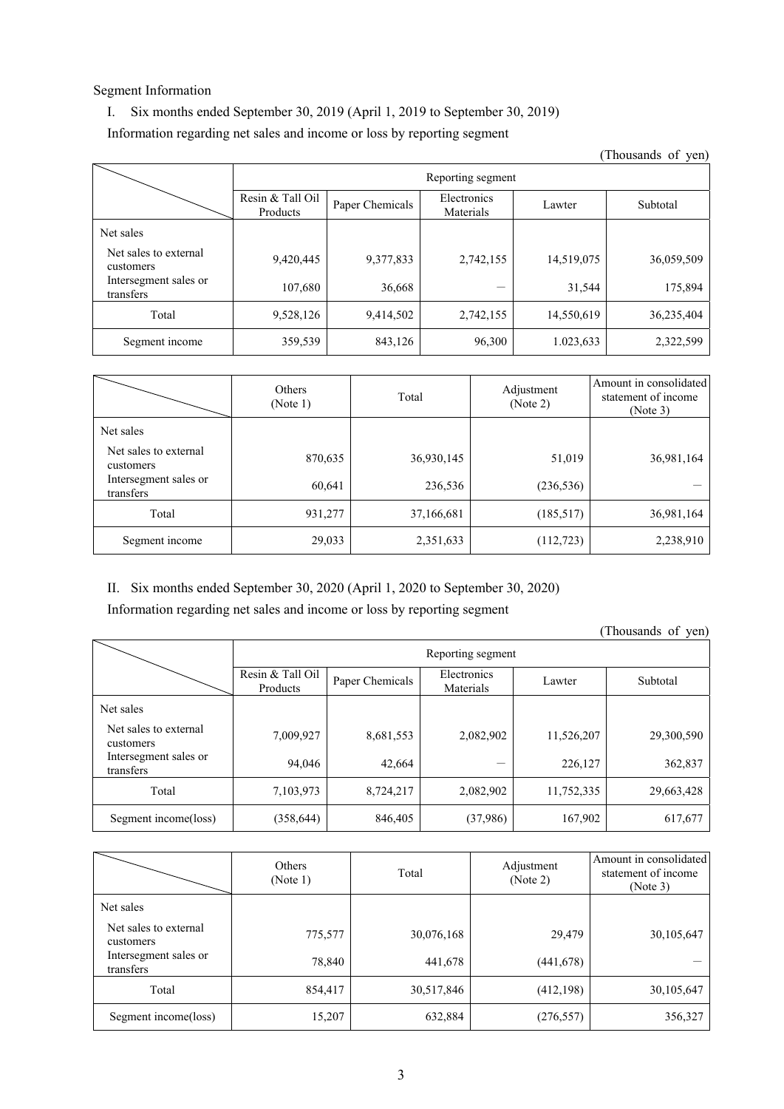#### Segment Information

## I. Six months ended September 30, 2019 (April 1, 2019 to September 30, 2019)

## Information regarding net sales and income or loss by reporting segment

(Thousands of yen) Reporting segment Resin & Tall Oil Froducts Products Paper Chemicals Electronics Materials Lawter Subtotal Net sales Net sales to external customers 8 CACHINA 9,420,445 9,377,833 2,742,155 14,519,075 36,059,509 Intersegment sales or transfers 107,680  $\begin{array}{|l|c|c|c|c|c|c|c|c|} \hline \end{array}$  107,680  $\begin{array}{|c|c|c|c|c|c|c|c|} \hline \end{array}$  31,544 175,894 Total  $\begin{array}{|l} \hline \text{Total} \\ \hline \end{array}$  9,528,126 9,414,502 2,742,155 14,550,619 36,235,404 Segment income  $\begin{array}{|l|c|c|c|c|c|c|c|c|} \hline \end{array}$  359,539 843,126 96,300 1.023,633 2,322,599

|                                    | Others<br>(Note 1) | Total      | Adjustment<br>(Note 2) | Amount in consolidated<br>statement of income<br>(Note 3) |
|------------------------------------|--------------------|------------|------------------------|-----------------------------------------------------------|
| Net sales                          |                    |            |                        |                                                           |
| Net sales to external<br>customers | 870,635            | 36,930,145 | 51,019                 | 36,981,164                                                |
| Intersegment sales or<br>transfers | 60,641             | 236,536    | (236, 536)             |                                                           |
| Total                              | 931,277            | 37,166,681 | (185,517)              | 36,981,164                                                |
| Segment income                     | 29,033             | 2,351,633  | (112, 723)             | 2,238,910                                                 |

#### II. Six months ended September 30, 2020 (April 1, 2020 to September 30, 2020)

Information regarding net sales and income or loss by reporting segment

(Thousands of yen)

|                                    |                              | Reporting segment |                          |            |            |  |  |  |
|------------------------------------|------------------------------|-------------------|--------------------------|------------|------------|--|--|--|
|                                    | Resin & Tall Oil<br>Products | Paper Chemicals   | Electronics<br>Materials | Lawter     | Subtotal   |  |  |  |
| Net sales                          |                              |                   |                          |            |            |  |  |  |
| Net sales to external<br>customers | 7,009,927                    | 8,681,553         | 2,082,902                | 11,526,207 | 29,300,590 |  |  |  |
| Intersegment sales or<br>transfers | 94,046                       | 42,664            |                          | 226,127    | 362,837    |  |  |  |
| Total                              | 7,103,973                    | 8,724,217         | 2,082,902                | 11,752,335 | 29,663,428 |  |  |  |
| Segment income(loss)               | (358, 644)                   | 846,405           | (37,986)                 | 167,902    | 617,677    |  |  |  |

|                                    | Others<br>(Note 1) | Total      | Adjustment<br>(Note 2) | Amount in consolidated<br>statement of income<br>(Note 3) |
|------------------------------------|--------------------|------------|------------------------|-----------------------------------------------------------|
| Net sales                          |                    |            |                        |                                                           |
| Net sales to external<br>customers | 775,577            | 30,076,168 | 29,479                 | 30,105,647                                                |
| Intersegment sales or<br>transfers | 78,840             | 441,678    | (441, 678)             |                                                           |
| Total                              | 854,417            | 30,517,846 | (412, 198)             | 30,105,647                                                |
| Segment income(loss)               | 15,207             | 632,884    | (276, 557)             | 356,327                                                   |